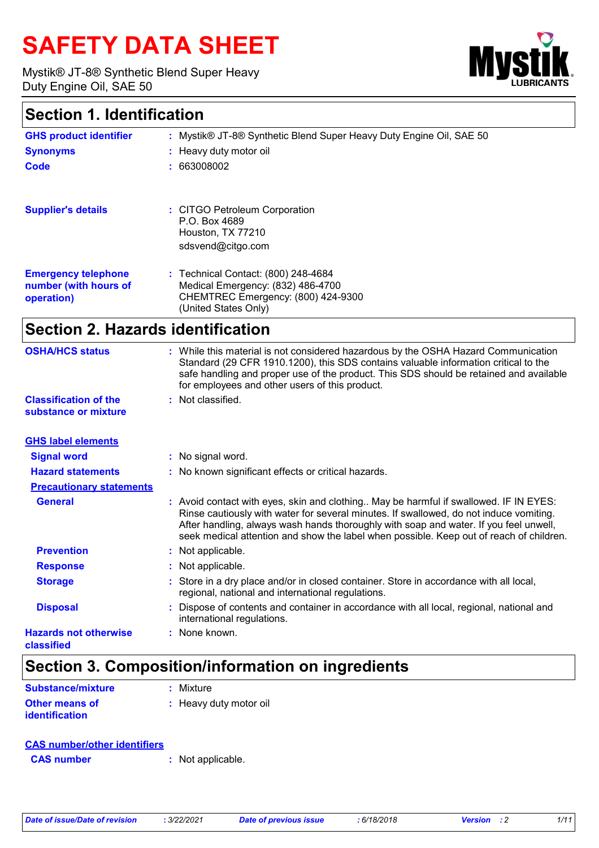# **SAFETY DATA SHEET**

Mystik® JT-8® Synthetic Blend Super Heavy Duty Engine Oil, SAE 50



### **Section 1. Identification**

| <b>GHS product identifier</b>       | : Mystik® JT-8® Synthetic Blend Super Heavy Duty Engine Oil, SAE 50     |
|-------------------------------------|-------------------------------------------------------------------------|
| <b>Synonyms</b>                     | : Heavy duty motor oil                                                  |
| Code                                | : 663008002                                                             |
| <b>Supplier's details</b>           | : CITGO Petroleum Corporation                                           |
|                                     | P.O. Box 4689                                                           |
|                                     | Houston, TX 77210<br>sdsvend@citgo.com                                  |
|                                     |                                                                         |
| <b>Emergency telephone</b>          | : Technical Contact: (800) 248-4684                                     |
| number (with hours of<br>operation) | Medical Emergency: (832) 486-4700<br>CHEMTREC Emergency: (800) 424-9300 |
|                                     | (United States Only)                                                    |

### **Section 2. Hazards identification**

| <b>OSHA/HCS status</b>                               | : While this material is not considered hazardous by the OSHA Hazard Communication<br>Standard (29 CFR 1910.1200), this SDS contains valuable information critical to the<br>safe handling and proper use of the product. This SDS should be retained and available<br>for employees and other users of this product.                                               |
|------------------------------------------------------|---------------------------------------------------------------------------------------------------------------------------------------------------------------------------------------------------------------------------------------------------------------------------------------------------------------------------------------------------------------------|
| <b>Classification of the</b><br>substance or mixture | : Not classified.                                                                                                                                                                                                                                                                                                                                                   |
| <b>GHS label elements</b>                            |                                                                                                                                                                                                                                                                                                                                                                     |
| <b>Signal word</b>                                   | : No signal word.                                                                                                                                                                                                                                                                                                                                                   |
| <b>Hazard statements</b>                             | : No known significant effects or critical hazards.                                                                                                                                                                                                                                                                                                                 |
| <b>Precautionary statements</b>                      |                                                                                                                                                                                                                                                                                                                                                                     |
| <b>General</b>                                       | : Avoid contact with eyes, skin and clothing May be harmful if swallowed. IF IN EYES:<br>Rinse cautiously with water for several minutes. If swallowed, do not induce vomiting.<br>After handling, always wash hands thoroughly with soap and water. If you feel unwell,<br>seek medical attention and show the label when possible. Keep out of reach of children. |
| <b>Prevention</b>                                    | : Not applicable.                                                                                                                                                                                                                                                                                                                                                   |
| <b>Response</b>                                      | : Not applicable.                                                                                                                                                                                                                                                                                                                                                   |
| <b>Storage</b>                                       | : Store in a dry place and/or in closed container. Store in accordance with all local,<br>regional, national and international regulations.                                                                                                                                                                                                                         |
| <b>Disposal</b>                                      | Dispose of contents and container in accordance with all local, regional, national and<br>international regulations.                                                                                                                                                                                                                                                |
| <b>Hazards not otherwise</b><br>classified           | $:$ None known.                                                                                                                                                                                                                                                                                                                                                     |

## **Section 3. Composition/information on ingredients**

| <b>Substance/mixture</b>                | : Mixture              |
|-----------------------------------------|------------------------|
| <b>Other means of</b><br>identification | : Heavy duty motor oil |

### **CAS number/other identifiers**

**CAS number :** Not applicable.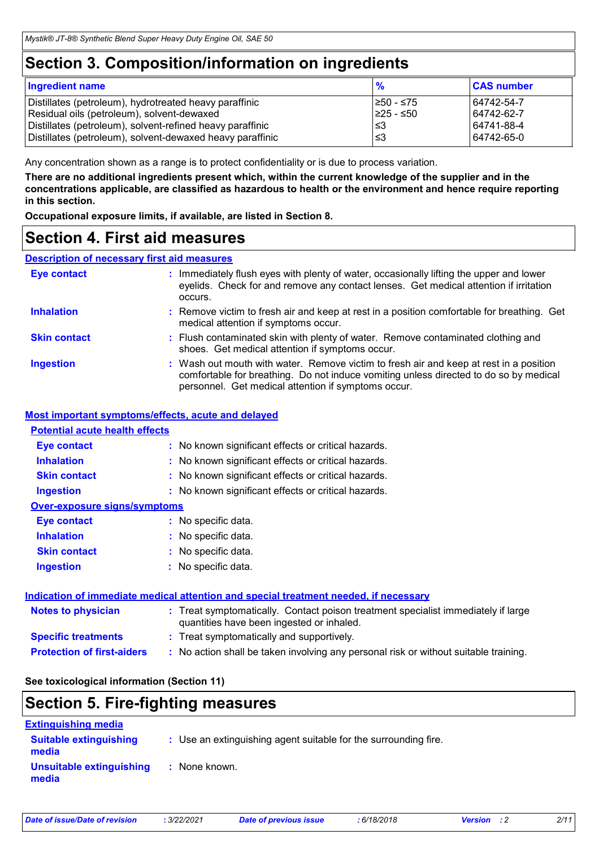### **Section 3. Composition/information on ingredients**

| <b>Ingredient name</b>                                    | $\frac{9}{6}$ | <b>CAS number</b> |
|-----------------------------------------------------------|---------------|-------------------|
| Distillates (petroleum), hydrotreated heavy paraffinic    | I≥50 - ≤75    | 64742-54-7        |
| Residual oils (petroleum), solvent-dewaxed                | 225 - ≤50     | 64742-62-7        |
| Distillates (petroleum), solvent-refined heavy paraffinic | l≤3           | 64741-88-4        |
| Distillates (petroleum), solvent-dewaxed heavy paraffinic | l≤3           | 64742-65-0        |

Any concentration shown as a range is to protect confidentiality or is due to process variation.

**There are no additional ingredients present which, within the current knowledge of the supplier and in the concentrations applicable, are classified as hazardous to health or the environment and hence require reporting in this section.**

**Occupational exposure limits, if available, are listed in Section 8.**

### **Section 4. First aid measures**

#### **Description of necessary first aid measures**

| <b>Eye contact</b>  | : Immediately flush eyes with plenty of water, occasionally lifting the upper and lower<br>eyelids. Check for and remove any contact lenses. Get medical attention if irritation<br>occurs.                                            |  |
|---------------------|----------------------------------------------------------------------------------------------------------------------------------------------------------------------------------------------------------------------------------------|--|
| <b>Inhalation</b>   | : Remove victim to fresh air and keep at rest in a position comfortable for breathing. Get<br>medical attention if symptoms occur.                                                                                                     |  |
| <b>Skin contact</b> | : Flush contaminated skin with plenty of water. Remove contaminated clothing and<br>shoes. Get medical attention if symptoms occur.                                                                                                    |  |
| <b>Ingestion</b>    | : Wash out mouth with water. Remove victim to fresh air and keep at rest in a position<br>comfortable for breathing. Do not induce vomiting unless directed to do so by medical<br>personnel. Get medical attention if symptoms occur. |  |

#### **Most important symptoms/effects, acute and delayed**

#### **Potential acute health effects**

| <b>Eye contact</b>                  | : No known significant effects or critical hazards.                                                                            |
|-------------------------------------|--------------------------------------------------------------------------------------------------------------------------------|
| <b>Inhalation</b>                   | : No known significant effects or critical hazards.                                                                            |
| <b>Skin contact</b>                 | : No known significant effects or critical hazards.                                                                            |
| <b>Ingestion</b>                    | : No known significant effects or critical hazards.                                                                            |
| <b>Over-exposure signs/symptoms</b> |                                                                                                                                |
| <b>Eye contact</b>                  | : No specific data.                                                                                                            |
| <b>Inhalation</b>                   | : No specific data.                                                                                                            |
| <b>Skin contact</b>                 | : No specific data.                                                                                                            |
| <b>Ingestion</b>                    | : No specific data.                                                                                                            |
|                                     | <b>Indication of immediate medical attention and special treatment needed, if necessary</b>                                    |
| <b>Notes to physician</b>           | : Treat symptomatically. Contact poison treatment specialist immediately if large<br>quantities have been ingested or inhaled. |

- **Specific treatments :** Treat symptomatically and supportively.
- **Protection of first-aiders :** No action shall be taken involving any personal risk or without suitable training.

#### **See toxicological information (Section 11)**

# **Section 5. Fire-fighting measures**

| <b>Extinguishing media</b>             |                                                                 |
|----------------------------------------|-----------------------------------------------------------------|
| <b>Suitable extinguishing</b><br>media | : Use an extinguishing agent suitable for the surrounding fire. |
| Unsuitable extinguishing<br>media      | : None known.                                                   |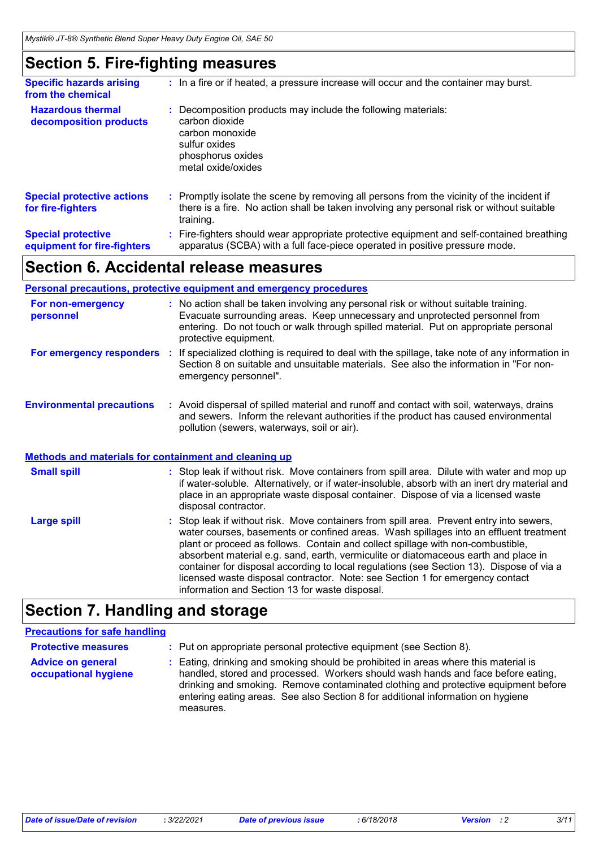### **Section 5. Fire-fighting measures**

| <b>Specific hazards arising</b><br>from the chemical     | : In a fire or if heated, a pressure increase will occur and the container may burst.                                                                                                               |
|----------------------------------------------------------|-----------------------------------------------------------------------------------------------------------------------------------------------------------------------------------------------------|
| <b>Hazardous thermal</b><br>decomposition products       | Decomposition products may include the following materials:<br>carbon dioxide<br>carbon monoxide<br>sulfur oxides<br>phosphorus oxides<br>metal oxide/oxides                                        |
| <b>Special protective actions</b><br>for fire-fighters   | : Promptly isolate the scene by removing all persons from the vicinity of the incident if<br>there is a fire. No action shall be taken involving any personal risk or without suitable<br>training. |
| <b>Special protective</b><br>equipment for fire-fighters | : Fire-fighters should wear appropriate protective equipment and self-contained breathing<br>apparatus (SCBA) with a full face-piece operated in positive pressure mode.                            |

### **Section 6. Accidental release measures**

|                                                              | Personal precautions, protective equipment and emergency procedures                                                                                                                                                                                                                  |
|--------------------------------------------------------------|--------------------------------------------------------------------------------------------------------------------------------------------------------------------------------------------------------------------------------------------------------------------------------------|
| For non-emergency<br>personnel                               | : No action shall be taken involving any personal risk or without suitable training.<br>Evacuate surrounding areas. Keep unnecessary and unprotected personnel from<br>entering. Do not touch or walk through spilled material. Put on appropriate personal<br>protective equipment. |
| For emergency responders                                     | If specialized clothing is required to deal with the spillage, take note of any information in<br>Section 8 on suitable and unsuitable materials. See also the information in "For non-<br>emergency personnel".                                                                     |
| <b>Environmental precautions</b>                             | : Avoid dispersal of spilled material and runoff and contact with soil, waterways, drains<br>and sewers. Inform the relevant authorities if the product has caused environmental<br>pollution (sewers, waterways, soil or air).                                                      |
| <b>Methods and materials for containment and cleaning up</b> |                                                                                                                                                                                                                                                                                      |
| <b>Small spill</b>                                           | : Stop leak if without risk. Move containers from spill area. Dilute with water and mop up<br>if water-soluble. Alternatively, or if water-insoluble, absorb with an inert dry material and<br>place in an appropriate waste disposal container. Dispose of via a licensed waste     |

|                    | disposal contractor.                                                                                                                                                                                                                                                                                                                                                                                                                                                                                                                                                                       |
|--------------------|--------------------------------------------------------------------------------------------------------------------------------------------------------------------------------------------------------------------------------------------------------------------------------------------------------------------------------------------------------------------------------------------------------------------------------------------------------------------------------------------------------------------------------------------------------------------------------------------|
| <b>Large spill</b> | : Stop leak if without risk. Move containers from spill area. Prevent entry into sewers,<br>water courses, basements or confined areas. Wash spillages into an effluent treatment<br>plant or proceed as follows. Contain and collect spillage with non-combustible,<br>absorbent material e.g. sand, earth, vermiculite or diatomaceous earth and place in<br>container for disposal according to local regulations (see Section 13). Dispose of via a<br>licensed waste disposal contractor. Note: see Section 1 for emergency contact<br>information and Section 13 for waste disposal. |
|                    |                                                                                                                                                                                                                                                                                                                                                                                                                                                                                                                                                                                            |

### **Section 7. Handling and storage**

### **Precautions for safe handling**

| <b>Protective measures</b>                       | : Put on appropriate personal protective equipment (see Section 8).                                                                                                                                                                                                                                                                                           |
|--------------------------------------------------|---------------------------------------------------------------------------------------------------------------------------------------------------------------------------------------------------------------------------------------------------------------------------------------------------------------------------------------------------------------|
| <b>Advice on general</b><br>occupational hygiene | : Eating, drinking and smoking should be prohibited in areas where this material is<br>handled, stored and processed. Workers should wash hands and face before eating,<br>drinking and smoking. Remove contaminated clothing and protective equipment before<br>entering eating areas. See also Section 8 for additional information on hygiene<br>measures. |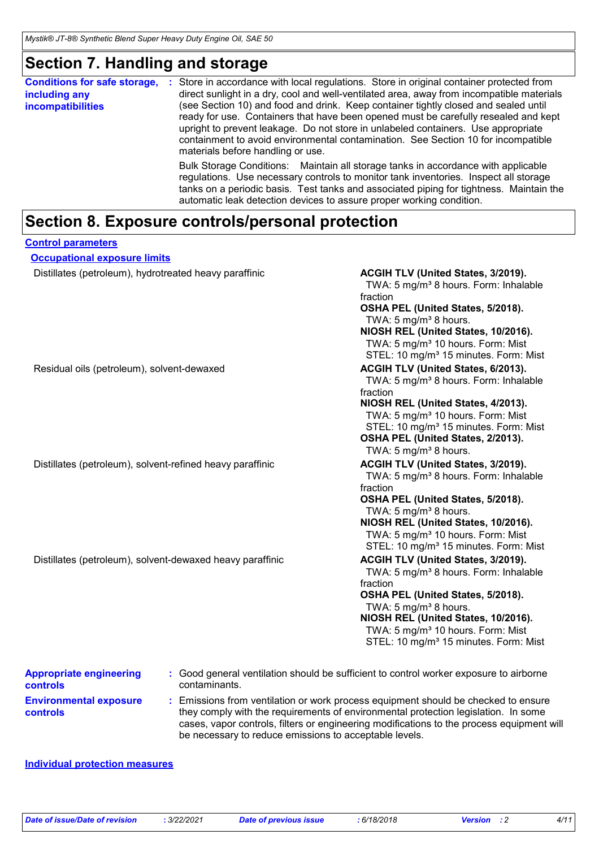### **Section 7. Handling and storage**

| <b>Conditions for safe storage,</b><br>including any<br><b>incompatibilities</b> | Store in accordance with local regulations. Store in original container protected from<br>÷<br>direct sunlight in a dry, cool and well-ventilated area, away from incompatible materials<br>(see Section 10) and food and drink. Keep container tightly closed and sealed until<br>ready for use. Containers that have been opened must be carefully resealed and kept<br>upright to prevent leakage. Do not store in unlabeled containers. Use appropriate<br>containment to avoid environmental contamination. See Section 10 for incompatible<br>materials before handling or use. |
|----------------------------------------------------------------------------------|---------------------------------------------------------------------------------------------------------------------------------------------------------------------------------------------------------------------------------------------------------------------------------------------------------------------------------------------------------------------------------------------------------------------------------------------------------------------------------------------------------------------------------------------------------------------------------------|
|                                                                                  | Bulk Storage Conditions: Maintain all storage tanks in accordance with applicable<br>regulations. Use necessary controls to monitor tank inventories. Inspect all storage<br>tanks on a periodic basis. Test tanks and associated piping for tightness. Maintain the<br>automatic leak detection devices to assure proper working condition.                                                                                                                                                                                                                                          |

### **Section 8. Exposure controls/personal protection**

| <b>Control parameters</b>                                   |                                                                                                                                                                                                                                                                                                                            |
|-------------------------------------------------------------|----------------------------------------------------------------------------------------------------------------------------------------------------------------------------------------------------------------------------------------------------------------------------------------------------------------------------|
| <b>Occupational exposure limits</b>                         |                                                                                                                                                                                                                                                                                                                            |
| Distillates (petroleum), hydrotreated heavy paraffinic      | ACGIH TLV (United States, 3/2019).<br>TWA: 5 mg/m <sup>3</sup> 8 hours. Form: Inhalable<br>fraction<br>OSHA PEL (United States, 5/2018).<br>TWA: 5 mg/m <sup>3</sup> 8 hours.<br>NIOSH REL (United States, 10/2016).<br>TWA: 5 mg/m <sup>3</sup> 10 hours. Form: Mist<br>STEL: 10 mg/m <sup>3</sup> 15 minutes. Form: Mist |
| Residual oils (petroleum), solvent-dewaxed                  | ACGIH TLV (United States, 6/2013).<br>TWA: 5 mg/m <sup>3</sup> 8 hours. Form: Inhalable<br>fraction<br>NIOSH REL (United States, 4/2013).<br>TWA: 5 mg/m <sup>3</sup> 10 hours. Form: Mist<br>STEL: 10 mg/m <sup>3</sup> 15 minutes. Form: Mist<br>OSHA PEL (United States, 2/2013).<br>TWA: 5 mg/m <sup>3</sup> 8 hours.  |
| Distillates (petroleum), solvent-refined heavy paraffinic   | ACGIH TLV (United States, 3/2019).<br>TWA: 5 mg/m <sup>3</sup> 8 hours. Form: Inhalable<br>fraction<br>OSHA PEL (United States, 5/2018).<br>TWA: 5 mg/m <sup>3</sup> 8 hours.<br>NIOSH REL (United States, 10/2016).<br>TWA: 5 mg/m <sup>3</sup> 10 hours. Form: Mist<br>STEL: 10 mg/m <sup>3</sup> 15 minutes. Form: Mist |
| Distillates (petroleum), solvent-dewaxed heavy paraffinic   | ACGIH TLV (United States, 3/2019).<br>TWA: 5 mg/m <sup>3</sup> 8 hours. Form: Inhalable<br>fraction<br>OSHA PEL (United States, 5/2018).<br>TWA: 5 mg/m <sup>3</sup> 8 hours.<br>NIOSH REL (United States, 10/2016).<br>TWA: 5 mg/m <sup>3</sup> 10 hours. Form: Mist<br>STEL: 10 mg/m <sup>3</sup> 15 minutes. Form: Mist |
| <b>Appropriate engineering</b><br>contaminants.<br>controls | : Good general ventilation should be sufficient to control worker exposure to airborne                                                                                                                                                                                                                                     |
| $\sim$ $\sim$ $\sim$ $\sim$ $\sim$                          |                                                                                                                                                                                                                                                                                                                            |

**Environmental exposure controls**

**:** Emissions from ventilation or work process equipment should be checked to ensure they comply with the requirements of environmental protection legislation. In some cases, vapor controls, filters or engineering modifications to the process equipment will be necessary to reduce emissions to acceptable levels.

#### **Individual protection measures**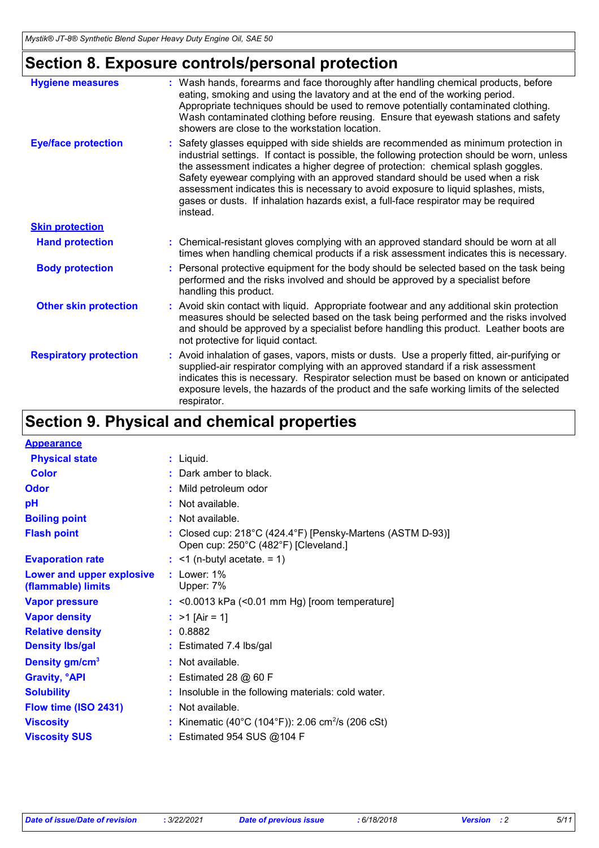## **Section 8. Exposure controls/personal protection**

| <b>Hygiene measures</b>       | : Wash hands, forearms and face thoroughly after handling chemical products, before<br>eating, smoking and using the lavatory and at the end of the working period.<br>Appropriate techniques should be used to remove potentially contaminated clothing.<br>Wash contaminated clothing before reusing. Ensure that eyewash stations and safety<br>showers are close to the workstation location.                                                                                                                                                   |
|-------------------------------|-----------------------------------------------------------------------------------------------------------------------------------------------------------------------------------------------------------------------------------------------------------------------------------------------------------------------------------------------------------------------------------------------------------------------------------------------------------------------------------------------------------------------------------------------------|
| <b>Eye/face protection</b>    | : Safety glasses equipped with side shields are recommended as minimum protection in<br>industrial settings. If contact is possible, the following protection should be worn, unless<br>the assessment indicates a higher degree of protection: chemical splash goggles.<br>Safety eyewear complying with an approved standard should be used when a risk<br>assessment indicates this is necessary to avoid exposure to liquid splashes, mists,<br>gases or dusts. If inhalation hazards exist, a full-face respirator may be required<br>instead. |
| <b>Skin protection</b>        |                                                                                                                                                                                                                                                                                                                                                                                                                                                                                                                                                     |
| <b>Hand protection</b>        | : Chemical-resistant gloves complying with an approved standard should be worn at all<br>times when handling chemical products if a risk assessment indicates this is necessary.                                                                                                                                                                                                                                                                                                                                                                    |
| <b>Body protection</b>        | : Personal protective equipment for the body should be selected based on the task being<br>performed and the risks involved and should be approved by a specialist before<br>handling this product.                                                                                                                                                                                                                                                                                                                                                 |
| <b>Other skin protection</b>  | : Avoid skin contact with liquid. Appropriate footwear and any additional skin protection<br>measures should be selected based on the task being performed and the risks involved<br>and should be approved by a specialist before handling this product. Leather boots are<br>not protective for liquid contact.                                                                                                                                                                                                                                   |
| <b>Respiratory protection</b> | : Avoid inhalation of gases, vapors, mists or dusts. Use a properly fitted, air-purifying or<br>supplied-air respirator complying with an approved standard if a risk assessment<br>indicates this is necessary. Respirator selection must be based on known or anticipated<br>exposure levels, the hazards of the product and the safe working limits of the selected<br>respirator.                                                                                                                                                               |

## **Section 9. Physical and chemical properties**

| $:$ Liquid.                                                                                                           |
|-----------------------------------------------------------------------------------------------------------------------|
| : Dark amber to black.                                                                                                |
| : Mild petroleum odor                                                                                                 |
| : Not available.                                                                                                      |
| $:$ Not available.                                                                                                    |
| Closed cup: $218^{\circ}$ C (424.4 $^{\circ}$ F) [Pensky-Martens (ASTM D-93)]<br>Open cup: 250°C (482°F) [Cleveland.] |
| $:$ <1 (n-butyl acetate. = 1)                                                                                         |
| $:$ Lower: $1\%$<br>Upper: 7%                                                                                         |
| $:$ <0.0013 kPa (<0.01 mm Hg) [room temperature]                                                                      |
| : $>1$ [Air = 1]                                                                                                      |
| : 0.8882                                                                                                              |
| : Estimated 7.4 lbs/gal                                                                                               |
| : Not available.                                                                                                      |
| $:$ Estimated 28 $@$ 60 F                                                                                             |
| : Insoluble in the following materials: cold water.                                                                   |
| : Not available.                                                                                                      |
| Kinematic (40°C (104°F)): 2.06 cm <sup>2</sup> /s (206 cSt)                                                           |
| : Estimated 954 SUS @104 F                                                                                            |
|                                                                                                                       |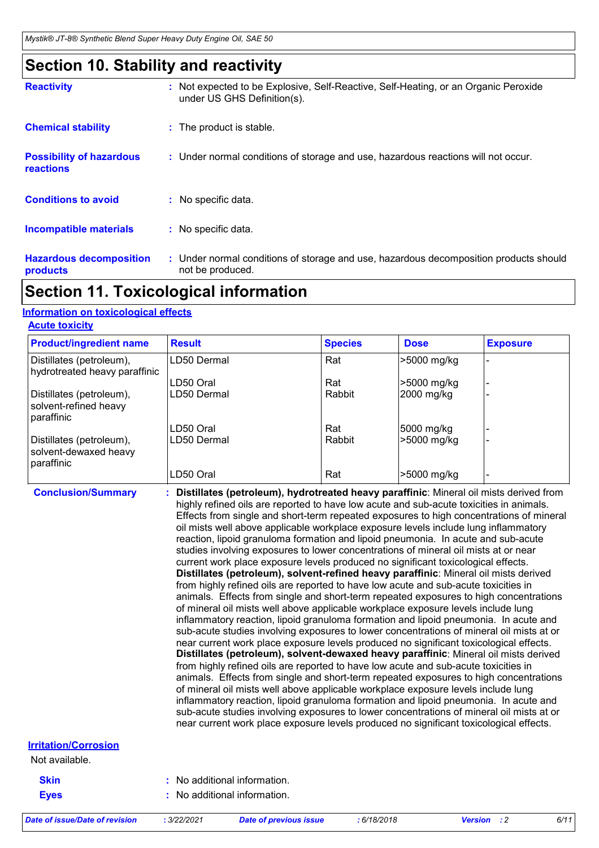### **Section 10. Stability and reactivity**

| <b>Reactivity</b>                                   | : Not expected to be Explosive, Self-Reactive, Self-Heating, or an Organic Peroxide<br>under US GHS Definition(s). |
|-----------------------------------------------------|--------------------------------------------------------------------------------------------------------------------|
| <b>Chemical stability</b>                           | : The product is stable.                                                                                           |
| <b>Possibility of hazardous</b><br><b>reactions</b> | : Under normal conditions of storage and use, hazardous reactions will not occur.                                  |
| <b>Conditions to avoid</b>                          | : No specific data.                                                                                                |
| <b>Incompatible materials</b>                       | : No specific data.                                                                                                |
| <b>Hazardous decomposition</b><br><b>products</b>   | : Under normal conditions of storage and use, hazardous decomposition products should<br>not be produced.          |

### **Section 11. Toxicological information**

#### **Information on toxicological effects**

|  |  | <b>Acute toxicity</b> |
|--|--|-----------------------|
|  |  |                       |

| <b>Product/ingredient name</b>                                  | <b>Result</b> | <b>Species</b> | <b>Dose</b> | <b>Exposure</b> |
|-----------------------------------------------------------------|---------------|----------------|-------------|-----------------|
| Distillates (petroleum),<br>hydrotreated heavy paraffinic       | LD50 Dermal   | Rat            | >5000 mg/kg |                 |
|                                                                 | LD50 Oral     | Rat            | >5000 mg/kg |                 |
| Distillates (petroleum),<br>solvent-refined heavy<br>paraffinic | LD50 Dermal   | Rabbit         | 2000 mg/kg  |                 |
|                                                                 | LD50 Oral     | Rat            | 5000 mg/kg  |                 |
| Distillates (petroleum),<br>solvent-dewaxed heavy<br>paraffinic | LD50 Dermal   | Rabbit         | >5000 mg/kg |                 |
|                                                                 | LD50 Oral     | Rat            | -5000 mg/kg |                 |

**Conclusion/Summary : Distillates (petroleum), hydrotreated heavy paraffinic**: Mineral oil mists derived from highly refined oils are reported to have low acute and sub-acute toxicities in animals. Effects from single and short-term repeated exposures to high concentrations of mineral oil mists well above applicable workplace exposure levels include lung inflammatory reaction, lipoid granuloma formation and lipoid pneumonia. In acute and sub-acute studies involving exposures to lower concentrations of mineral oil mists at or near current work place exposure levels produced no significant toxicological effects. **Distillates (petroleum), solvent-refined heavy paraffinic**: Mineral oil mists derived from highly refined oils are reported to have low acute and sub-acute toxicities in animals. Effects from single and short-term repeated exposures to high concentrations of mineral oil mists well above applicable workplace exposure levels include lung inflammatory reaction, lipoid granuloma formation and lipoid pneumonia. In acute and sub-acute studies involving exposures to lower concentrations of mineral oil mists at or near current work place exposure levels produced no significant toxicological effects. **Distillates (petroleum), solvent-dewaxed heavy paraffinic**: Mineral oil mists derived from highly refined oils are reported to have low acute and sub-acute toxicities in animals. Effects from single and short-term repeated exposures to high concentrations of mineral oil mists well above applicable workplace exposure levels include lung inflammatory reaction, lipoid granuloma formation and lipoid pneumonia. In acute and sub-acute studies involving exposures to lower concentrations of mineral oil mists at or near current work place exposure levels produced no significant toxicological effects.

#### **Irritation/Corrosion**

Not available.

| <b>Skin</b> | : No additional information. |
|-------------|------------------------------|
| <b>Eyes</b> | : No additional information. |

```
:
No additional information.
```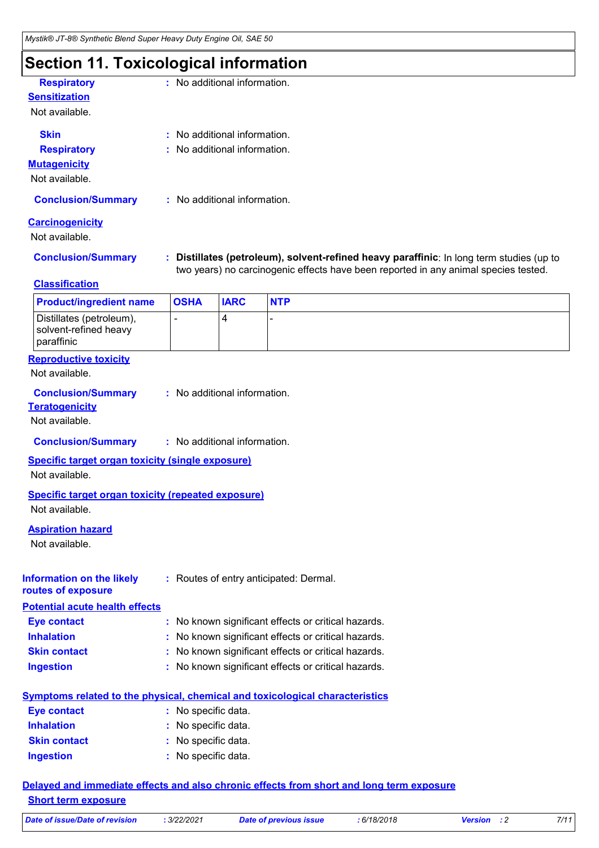### **Section 11. Toxicological information**

| <b>Respiratory</b><br><b>Sensitization</b>                                          |                                                   | : No additional information. |                                                                                                                                                                               |  |  |
|-------------------------------------------------------------------------------------|---------------------------------------------------|------------------------------|-------------------------------------------------------------------------------------------------------------------------------------------------------------------------------|--|--|
| Not available.                                                                      |                                                   |                              |                                                                                                                                                                               |  |  |
| <b>Skin</b>                                                                         | : No additional information.                      |                              |                                                                                                                                                                               |  |  |
| <b>Respiratory</b>                                                                  |                                                   | : No additional information. |                                                                                                                                                                               |  |  |
| <b>Mutagenicity</b>                                                                 |                                                   |                              |                                                                                                                                                                               |  |  |
| Not available.                                                                      |                                                   |                              |                                                                                                                                                                               |  |  |
| <b>Conclusion/Summary</b>                                                           |                                                   | : No additional information. |                                                                                                                                                                               |  |  |
| <b>Carcinogenicity</b><br>Not available.                                            |                                                   |                              |                                                                                                                                                                               |  |  |
| <b>Conclusion/Summary</b>                                                           |                                                   |                              | Distillates (petroleum), solvent-refined heavy paraffinic: In long term studies (up to<br>two years) no carcinogenic effects have been reported in any animal species tested. |  |  |
| <b>Classification</b>                                                               |                                                   |                              |                                                                                                                                                                               |  |  |
| <b>Product/ingredient name</b>                                                      | <b>OSHA</b>                                       | <b>IARC</b>                  | <b>NTP</b>                                                                                                                                                                    |  |  |
| Distillates (petroleum),<br>solvent-refined heavy<br>paraffinic                     |                                                   | 4                            |                                                                                                                                                                               |  |  |
| <b>Reproductive toxicity</b><br>Not available.                                      |                                                   |                              |                                                                                                                                                                               |  |  |
| <b>Conclusion/Summary</b><br><b>Teratogenicity</b><br>Not available.                |                                                   | : No additional information. |                                                                                                                                                                               |  |  |
| <b>Conclusion/Summary</b>                                                           |                                                   | : No additional information. |                                                                                                                                                                               |  |  |
| <b>Specific target organ toxicity (single exposure)</b><br>Not available.           |                                                   |                              |                                                                                                                                                                               |  |  |
| <b>Specific target organ toxicity (repeated exposure)</b>                           |                                                   |                              |                                                                                                                                                                               |  |  |
| Not available.                                                                      |                                                   |                              |                                                                                                                                                                               |  |  |
| <b>Aspiration hazard</b><br>Not available.                                          |                                                   |                              |                                                                                                                                                                               |  |  |
| <b>Information on the likely</b><br>routes of exposure                              |                                                   |                              | : Routes of entry anticipated: Dermal.                                                                                                                                        |  |  |
| <b>Potential acute health effects</b>                                               |                                                   |                              |                                                                                                                                                                               |  |  |
| <b>Eye contact</b>                                                                  | t.                                                |                              | No known significant effects or critical hazards.                                                                                                                             |  |  |
| <b>Inhalation</b>                                                                   | No known significant effects or critical hazards. |                              |                                                                                                                                                                               |  |  |
| <b>Skin contact</b>                                                                 | No known significant effects or critical hazards. |                              |                                                                                                                                                                               |  |  |
| <b>Ingestion</b>                                                                    |                                                   |                              | No known significant effects or critical hazards.                                                                                                                             |  |  |
| <b>Symptoms related to the physical, chemical and toxicological characteristics</b> |                                                   |                              |                                                                                                                                                                               |  |  |
| <b>Eye contact</b>                                                                  | : No specific data.                               |                              |                                                                                                                                                                               |  |  |
| <b>Inhalation</b>                                                                   |                                                   | No specific data.            |                                                                                                                                                                               |  |  |
| <b>Skin contact</b>                                                                 | No specific data.                                 |                              |                                                                                                                                                                               |  |  |
| <b>Ingestion</b>                                                                    | : No specific data.                               |                              |                                                                                                                                                                               |  |  |
|                                                                                     |                                                   |                              |                                                                                                                                                                               |  |  |

**Delayed and immediate effects and also chronic effects from short and long term exposure Short term exposure**

| Date of issue/Date of revision | 3/22/2021 | Date of previous issue | 6/18/2018 | <b>Version</b> : 2 |  |
|--------------------------------|-----------|------------------------|-----------|--------------------|--|
|--------------------------------|-----------|------------------------|-----------|--------------------|--|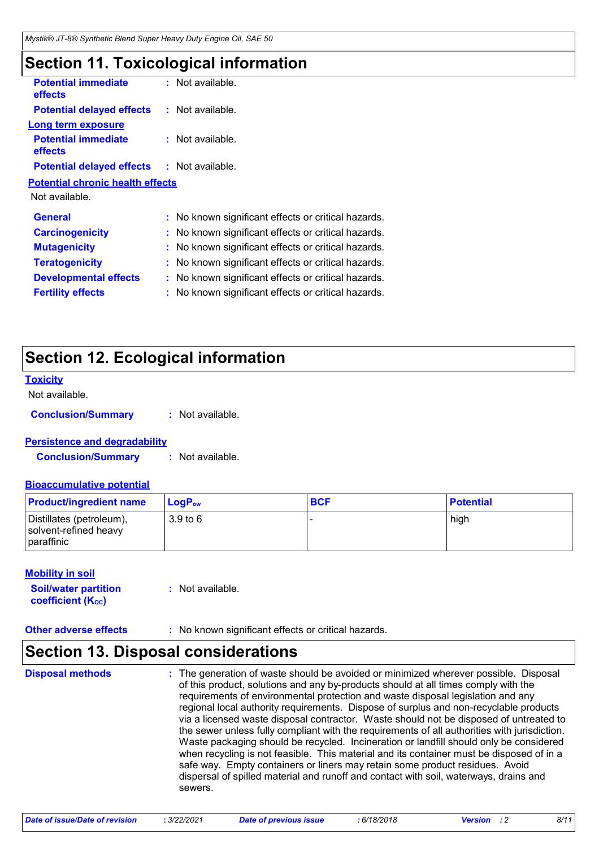### **Section 11. Toxicological information**

| <b>Potential immediate</b><br><b>effects</b>      | : Not available.                                    |  |
|---------------------------------------------------|-----------------------------------------------------|--|
| <b>Potential delayed effects</b>                  | $:$ Not available.                                  |  |
| <b>Long term exposure</b>                         |                                                     |  |
| <b>Potential immediate</b><br><b>effects</b>      | : Not available.                                    |  |
| <b>Potential delayed effects : Not available.</b> |                                                     |  |
| <b>Potential chronic health effects</b>           |                                                     |  |
| Not available.                                    |                                                     |  |
| <b>General</b>                                    | : No known significant effects or critical hazards. |  |
| <b>Carcinogenicity</b>                            | : No known significant effects or critical hazards. |  |
| <b>Mutagenicity</b>                               | : No known significant effects or critical hazards. |  |
| <b>Teratogenicity</b>                             | : No known significant effects or critical hazards. |  |
| <b>Developmental effects</b>                      | : No known significant effects or critical hazards. |  |
| <b>Fertility effects</b>                          | No known significant effects or critical hazards.   |  |
|                                                   |                                                     |  |

### **Section 12. Ecological information**

#### **Toxicity**

Not available.

**Conclusion/Summary :** Not available.

#### **Persistence and degradability**

**Conclusion/Summary :** Not available.

#### **Bioaccumulative potential**

| <b>Product/ingredient name</b>                                  | ∣ LoqP <sub>ow</sub> | <b>BCF</b> | <b>Potential</b> |
|-----------------------------------------------------------------|----------------------|------------|------------------|
| Distillates (petroleum),<br>solvent-refined heavy<br>paraffinic | 3.9 to 6             |            | high             |

#### **Mobility in soil**

| <b>Soil/water partition</b>    | : Not available. |
|--------------------------------|------------------|
| coefficient (K <sub>oc</sub> ) |                  |

**Other adverse effects :** No known significant effects or critical hazards.

### **Section 13. Disposal considerations**

The generation of waste should be avoided or minimized wherever possible. Disposal of this product, solutions and any by-products should at all times comply with the requirements of environmental protection and waste disposal legislation and any regional local authority requirements. Dispose of surplus and non-recyclable products via a licensed waste disposal contractor. Waste should not be disposed of untreated to the sewer unless fully compliant with the requirements of all authorities with jurisdiction. Waste packaging should be recycled. Incineration or landfill should only be considered when recycling is not feasible. This material and its container must be disposed of in a safe way. Empty containers or liners may retain some product residues. Avoid dispersal of spilled material and runoff and contact with soil, waterways, drains and sewers. **Disposal methods :**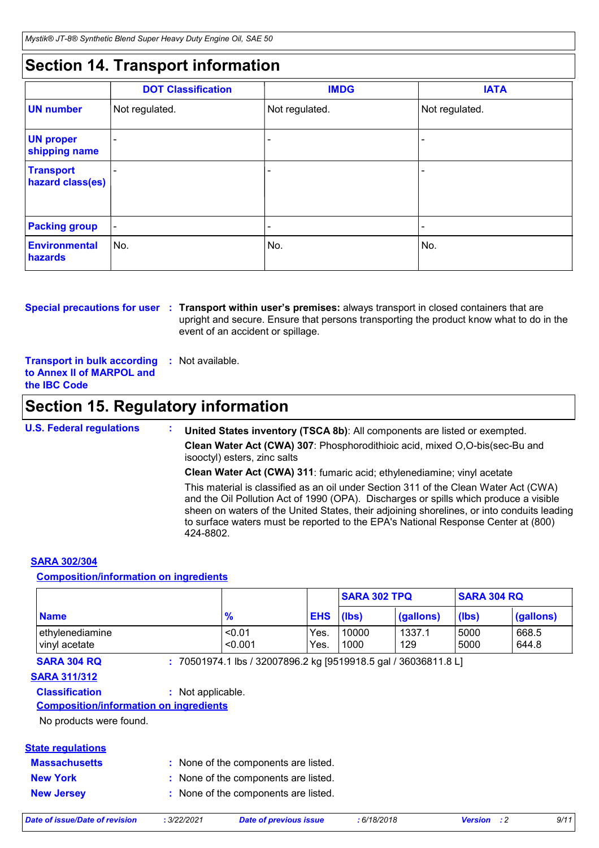### **Section 14. Transport information**

|                                      | <b>DOT Classification</b> | <b>IMDG</b>    | <b>IATA</b>    |
|--------------------------------------|---------------------------|----------------|----------------|
| <b>UN</b> number                     | Not regulated.            | Not regulated. | Not regulated. |
| <b>UN proper</b><br>shipping name    |                           |                |                |
| <b>Transport</b><br>hazard class(es) |                           |                | -              |
| <b>Packing group</b>                 | $\overline{\phantom{a}}$  |                | -              |
| <b>Environmental</b><br>hazards      | ∣No.                      | No.            | No.            |

**Special precautions for user** : Transport within user's premises: always transport in closed containers that are upright and secure. Ensure that persons transporting the product know what to do in the event of an accident or spillage.

**Transport in bulk according to Annex II of MARPOL and the IBC Code :** Not available.

### **Section 15. Regulatory information**

**U.S. Federal regulations : United States inventory (TSCA 8b)**: All components are listed or exempted. **Clean Water Act (CWA) 307**: Phosphorodithioic acid, mixed O,O-bis(sec-Bu and isooctyl) esters, zinc salts **Clean Water Act (CWA) 311**: fumaric acid; ethylenediamine; vinyl acetate This material is classified as an oil under Section 311 of the Clean Water Act (CWA) and the Oil Pollution Act of 1990 (OPA). Discharges or spills which produce a visible sheen on waters of the United States, their adjoining shorelines, or into conduits leading to surface waters must be reported to the EPA's National Response Center at (800) 424-8802.

#### **SARA 302/304**

#### **Composition/information on ingredients**

|                                  |                   |              | <b>SARA 302 TPQ</b> |               | <b>SARA 304 RQ</b> |                |
|----------------------------------|-------------------|--------------|---------------------|---------------|--------------------|----------------|
| <b>Name</b>                      | $\frac{9}{6}$     | <b>EHS</b>   | (lbs)               | (gallons)     | (lbs)              | (gallons)      |
| ethylenediamine<br>vinyl acetate | < 0.01<br>< 0.001 | Yes.<br>Yes. | 10000<br>1000       | 1337.1<br>129 | 5000<br>5000       | 668.5<br>644.8 |

**SARA 304 RQ :** 70501974.1 lbs / 32007896.2 kg [9519918.5 gal / 36036811.8 L]

#### **SARA 311/312**

#### **Classification :** Not applicable.

#### **Composition/information on ingredients**

No products were found.

#### **State regulations**

| <b>Massachusetts</b> |  | None of the components are listed. |
|----------------------|--|------------------------------------|
|----------------------|--|------------------------------------|

| <b>New York</b>   | : None of the components are listed. |
|-------------------|--------------------------------------|
| <b>New Jersey</b> | : None of the components are listed. |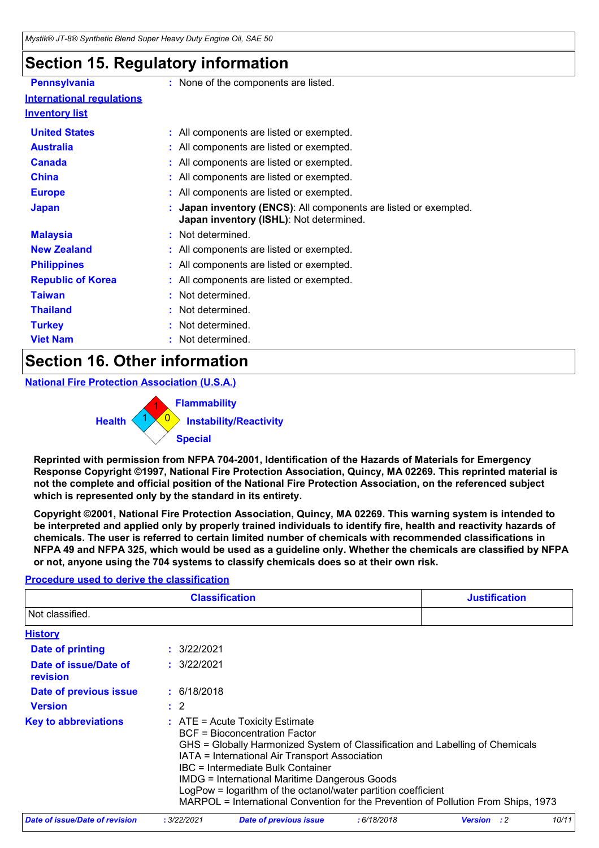### **Section 15. Regulatory information**

| <b>Pennsylvania</b>              | : None of the components are listed.                                                                      |
|----------------------------------|-----------------------------------------------------------------------------------------------------------|
| <b>International requlations</b> |                                                                                                           |
| <b>Inventory list</b>            |                                                                                                           |
| <b>United States</b>             | : All components are listed or exempted.                                                                  |
| <b>Australia</b>                 | : All components are listed or exempted.                                                                  |
| <b>Canada</b>                    | : All components are listed or exempted.                                                                  |
| <b>China</b>                     | : All components are listed or exempted.                                                                  |
| <b>Europe</b>                    | : All components are listed or exempted.                                                                  |
| <b>Japan</b>                     | Japan inventory (ENCS): All components are listed or exempted.<br>Japan inventory (ISHL): Not determined. |
| <b>Malaysia</b>                  | : Not determined.                                                                                         |
| <b>New Zealand</b>               | : All components are listed or exempted.                                                                  |
| <b>Philippines</b>               | : All components are listed or exempted.                                                                  |
| <b>Republic of Korea</b>         | : All components are listed or exempted.                                                                  |
| <b>Taiwan</b>                    | : Not determined.                                                                                         |
| <b>Thailand</b>                  | : Not determined.                                                                                         |
| <b>Turkey</b>                    | : Not determined.                                                                                         |
| <b>Viet Nam</b>                  | Not determined.                                                                                           |
|                                  |                                                                                                           |

### **Section 16. Other information**

**National Fire Protection Association (U.S.A.)**

0 **Instability/Reactivity** 1 **Flammability**  $1 \times 0$ **Health Special**

**Reprinted with permission from NFPA 704-2001, Identification of the Hazards of Materials for Emergency Response Copyright ©1997, National Fire Protection Association, Quincy, MA 02269. This reprinted material is not the complete and official position of the National Fire Protection Association, on the referenced subject which is represented only by the standard in its entirety.**

**Copyright ©2001, National Fire Protection Association, Quincy, MA 02269. This warning system is intended to be interpreted and applied only by properly trained individuals to identify fire, health and reactivity hazards of chemicals. The user is referred to certain limited number of chemicals with recommended classifications in NFPA 49 and NFPA 325, which would be used as a guideline only. Whether the chemicals are classified by NFPA or not, anyone using the 704 systems to classify chemicals does so at their own risk.**

### **Procedure used to derive the classification**

|                                                                                                                                                                                                                                                                                                                                                                                                                                                                                                   |                | <b>Justification</b>   |            |                               |  |  |  |
|---------------------------------------------------------------------------------------------------------------------------------------------------------------------------------------------------------------------------------------------------------------------------------------------------------------------------------------------------------------------------------------------------------------------------------------------------------------------------------------------------|----------------|------------------------|------------|-------------------------------|--|--|--|
| Not classified.                                                                                                                                                                                                                                                                                                                                                                                                                                                                                   |                |                        |            |                               |  |  |  |
| <b>History</b>                                                                                                                                                                                                                                                                                                                                                                                                                                                                                    |                |                        |            |                               |  |  |  |
| Date of printing                                                                                                                                                                                                                                                                                                                                                                                                                                                                                  | : 3/22/2021    |                        |            |                               |  |  |  |
| Date of issue/Date of<br>revision                                                                                                                                                                                                                                                                                                                                                                                                                                                                 | : 3/22/2021    |                        |            |                               |  |  |  |
| Date of previous issue                                                                                                                                                                                                                                                                                                                                                                                                                                                                            | : 6/18/2018    |                        |            |                               |  |  |  |
| <b>Version</b>                                                                                                                                                                                                                                                                                                                                                                                                                                                                                    | $\therefore$ 2 |                        |            |                               |  |  |  |
| <b>Key to abbreviations</b><br>$\therefore$ ATE = Acute Toxicity Estimate<br>BCF = Bioconcentration Factor<br>GHS = Globally Harmonized System of Classification and Labelling of Chemicals<br>IATA = International Air Transport Association<br>IBC = Intermediate Bulk Container<br><b>IMDG = International Maritime Dangerous Goods</b><br>LogPow = logarithm of the octanol/water partition coefficient<br>MARPOL = International Convention for the Prevention of Pollution From Ships, 1973 |                |                        |            |                               |  |  |  |
| Date of issue/Date of revision                                                                                                                                                                                                                                                                                                                                                                                                                                                                    | : 3/22/2021    | Date of previous issue | :6/18/2018 | 10/11<br><b>Version</b><br>:2 |  |  |  |